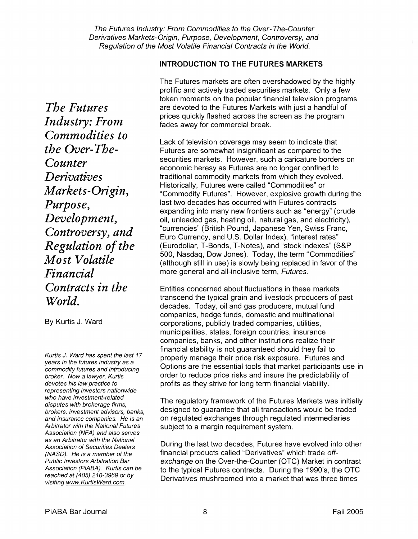**INTRODUCTION TO THE FUTURES MARKETS** 

The Futures markets are often overshadowed by the highly prolific and actively traded securities markets. Only a few token moments on the popular financial television programs are devoted to the Futures Markets with just a handful of prices quickly flashed across the screen as the program fades away for commercial break.

Lack of television coverage may seem to indicate that Futures are somewhat insignificant as compared to the securities markets. However, such a caricature borders on economic heresy as Futures are no longer confined to traditional commodity markets from which they evolved. Historically, Futures were called "Commodities" or "Commodity Futures". However, explosive growth during the last two decades has occurred with Futures contracts expanding into many new frontiers such as "energy" (crude oil, unleaded gas, heating oil, natural gas, and electricity), "currencies" (British Pound, Japanese Yen, Swiss Franc, Euro Currency, and U.S. Dollar Index), "interest rates" (Eurodollar, T-Bonds, T-Notes), and "stock indexes" (S&P 500, Nasdaq, Dow Jones). Today, the term "Commodities" (although still in use) is slowly being replaced in favor of the more general and all-inclusive term, Futures.

Entities concerned about fluctuations in these markets transcend the typical grain and livestock producers of past decades. Today, oil and gas producers, mutual fund companies, hedge funds, domestic and multinational corporations, publicly traded companies, utilities, municipalities, states, foreign countries, insurance companies, banks, and other institutions realize their financial stability is not guaranteed should they fail to properly manage their price risk exposure. Futures and Options are the essential tools that market participants use in order to reduce price risks and insure the predictability of profits as they strive for long term financial viability.

who have investment-related<br>disputes with brokerage firms, The regulatory framework of the Futures Markets was initially brokers, investment advisors, banks, designed to guarantee that all transactions would be traded and insurance companies. He is an on regulated exchanges through regulated intermediaries<br>Arbitrator with the National Futures subject to a margin requirement system

Association of Securities Dealers **During the last two decades, Futures have evolved into other** (NASD). He is a member of the financial products called "Derivatives" which trade off-<br>Public Investors Arbitration Bar exchange on the Over-the-Counter (OTC) Market in c Public Investors Arbitration Bar exchange on the Over-the-Counter (OTC) Market in contrast Public Internation<br>Association (PIABA). Kurtis can be explored to the typical Futures contracts. During the 1990's the OTC to the typical Futures contracts. During the 1990's, the OTC Derivatives mushroomed into a market that was three times

*The Futures Industry: From Commodities to the Over-The-Counter Derivdtives Markets- Origin, Purpose, Development, Controversy, and Regulation of the Mo st Volatile Financial Contracts in the World.* 

By Kurtis J. Ward

Kurtis J. Ward has spent the last 17 years in the futures industry as a commodity futures and introducing broker. Now a lawyer, Kurtis devotes his law practice to representing investors nationwide who have investment-related Arbitrator with the National Futures subject to a margin requirement system.<br>Association (NFA) and also serves as an Arbitrator with the National reached at (405) 210-3969 or by<br>visiting www.KurtisWard.com.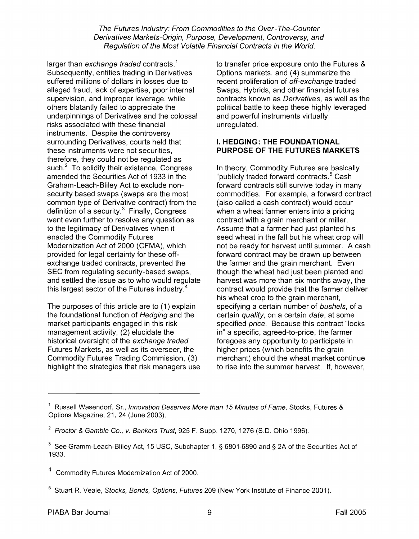larger than exchange traded contracts.<sup>1</sup> Subsequently, entities trading in Derivatives suffered millions of dollars in losses due to alleged fraud, lack of expertise, poor internal supervision, and improper leverage, while others blatantly failed to appreciate the underpinnings of Derivatives and the colossal risks associated with these financial instruments. Despite the controversy surrounding Derivatives, courts held that these instruments were not securities, therefore, they could not be regulated as such.<sup>2</sup> To solidify their existence, Congress amended the Securities Act of 1933 in the Graham-Leach-Bliley Act to exclude nonsecurity based swaps (swaps are the most common type of Derivative contract) from the definition of a security. $3$  Finally, Congress went even further to resolve any question as to the legitimacy of Derivatives when it enacted the Commodity Futures Modernization Act of 2000 (CFMA), which provided for legal certainty for these offexchange traded contracts, prevented the SEC from regulating security-based swaps, and settled the issue as to who would regulate this largest sector of the Futures industry. $4$ 

The purposes of this article are to (1) explain the foundational function of Hedging and the market participants engaged in this risk management activity, (2) elucidate the historical oversight of the exchange traded Futures Markets, as well as its overseer, the Commodity Futures Trading Commission, (3) highlight the strategies that risk managers use to transfer price exposure onto the Futures & Options markets, and (4) summarize the recent proliferation of off-exchange traded Swaps, Hybrids, and other financial futures contracts known as Derivatives, as well as the political battle to keep these highly leveraged and powerful instruments virtually unregulated.

#### I. **HEDGING: THE FOUNDATIONAL PURPOSE OF THE FUTURES MARKETS**

In theory, Commodity Futures are basically "publicly traded forward contracts.<sup>5</sup> Cash forward contracts still survive today in many commodities. For example, a forward contract (also called a cash contract) would occur when a wheat farmer enters into a pricing contract with a grain merchant or miller. Assume that a farmer had just planted his seed wheat in the fall but his wheat crop will not be ready for harvest until summer. A cash forward contract may be drawn up between the farmer and the grain merchant. Even though the wheat had just been planted and harvest was more than six months away, the contract would provide that the farmer deliver his wheat crop to the grain merchant, specifying a certain number of bushels, of a certain quality, on a certain date, at some specified price. Because this contract "locks in" a specific, agreed-to-price, the farmer foregoes any opportunity to participate in higher prices (which benefits the grain merchant) should the wheat market continue to rise into the summer harvest. If, however,

- Commodity Futures Modernization Act of 2000.
- <sup>5</sup> Stuart R. Veale, Stocks, Bonds, Options, Futures 209 (New York Institute of Finance 2001).

<sup>&</sup>lt;sup>1</sup> Russell Wasendorf, Sr., Innovation Deserves More than 15 Minutes of Fame, Stocks, Futures & Options Magazine, 21, 24 (June 2003).

<sup>&</sup>lt;sup>2</sup> Proctor & Gamble Co., v. Bankers Trust, 925 F. Supp. 1270, 1276 (S.D. Ohio 1996).

<sup>&</sup>lt;sup>3</sup> See Gramm-Leach-Bliley Act, 15 USC, Subchapter 1, § 6801-6890 and § 2A of the Securities Act of 1933.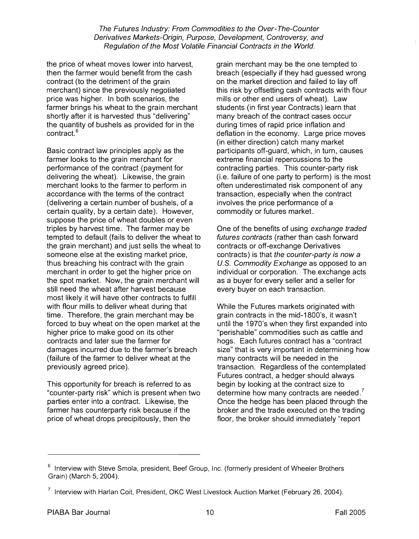the price of wheat moves lower into harvest, then the farmer would benefit from the cash contract (to the detriment of the grain merchant) since the previously negotiated price was higher. In both scenarios, the farmer brings his wheat to the grain merchant shortly after it is harvested thus "delivering" the quantity of bushels as provided for in the contract.<sup>6</sup>

Basic contract law principles apply as the farmer looks to the grain merchant for performance of the contract (payment for delivering the wheat). Likewise, the grain merchant looks to the farmer to perform in accordance with the terms of the contract (delivering a certain number of bushels, of a certain quality, by a certain date). However, suppose the price of wheat doubles or even triples by harvest time. The farmer may be tempted to default (fails to deliver the wheat to the grain merchant) and just sells the wheat to someone else at the existing market price, thus breaching his contract with the grain merchant in order to get the higher price on the spot market. Now, the grain merchant will still need the wheat after harvest because most likely it will have other contracts to fulfill with flour mills to deliver wheat during that time. Therefore, the grain merchant may be forced to buy wheat on the open market at the higher price to make good on its other contracts and later sue the farmer for damages incurred due to the farmer's breach (failure of the farmer to deliver wheat at the previously agreed price).

This opportunity for breach is referred to as "counter-party risk" which is present when two parties enter into a contract. Likewise, the farmer has counterparty risk because if the price of wheat drops precipitously, then the

grain merchant may be the one tempted to breach (especially if they had guessed wrong on the market direction and failed to lay off this risk by offsetting cash contracts with flour mills or other end users of wheat). Law students (in first year Contracts) learn that many breach of the contract cases occur during times of rapid price inflation and deflation in the economy. Large price moves (in either direction) catch many market participants off-guard, which, in turn, causes extreme financial repercussions to the contracting parties. This counter-party risk (i.e. failure of one party to perform) is the most often underestimated risk component of any transaction, especially when the contract involves the price performance of a commodity or futures market.

One of the benefits of using exchange traded futures contracts (rather than cash forward contracts or off-exchange Derivatives contracts) is that the counter-party is now a U.S. Commodify Exchange as opposed to an individual or corporation. The exchange acts as a buyer for every seller and a seller for every buyer on each transaction.

While the Futures markets originated with grain contracts in the mid-1 800's, it wasn't until the 1970's when they first expanded into "perishable" commodities such as cattle and hogs. Each futures contract has a "contract size" that is very important in determining how many contracts will be needed in the transaction. Regardless of the contemplated Futures contract, a hedger should always begin by looking at the contract size to determine how many contracts are needed.<sup>7</sup> Once the hedge has been placed through the broker and the trade executed on the trading floor, the broker should immediately "report

 $6$  Interview with Steve Smola, president, Beef Group, Inc. (formerly president of Wheeler Brothers Grain) (March 5, 2004).

**<sup>7</sup>**Interview with Harlan Coit, President, OKC West Livestock Auction Market (February 26, 2004).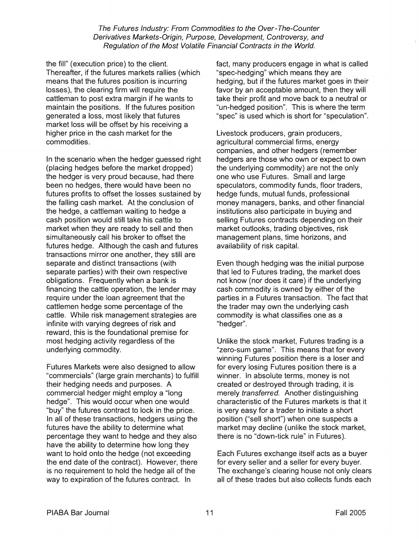the fill" (execution price) to the client. Thereafter, if the futures markets rallies (which means that the futures position is incurring losses), the clearing firm will require the cattleman to post extra margin if he wants to maintain the positions. If the futures position generated a loss, most likely that futures market loss will be offset by his receiving a higher price in the cash market for the commodities.

In the scenario when the hedger guessed right (placing hedges before the market dropped) the hedger is very proud because, had there been no hedges, there would have been no futures profits to offset the losses sustained by the falling cash market. At the conclusion of the hedge, a cattleman waiting to hedge a cash position would still take his cattle to market when they are ready to sell and then simultaneously call his broker to offset the futures hedge. Although the cash and futures transactions mirror one another, they still are separate and distinct transactions (with separate parties) with their own respective obligations. Frequently when a bank is financing the cattle operation, the lender may require under the loan agreement that the cattlemen hedge some percentage of the cattle. While risk management strategies are infinite with varying degrees of risk and reward, this is the foundational premise for most hedging activity regardless of the underlying commodity.

Futures Markets were also designed to allow "commercials" (large grain merchants) to fulfill their hedging needs and purposes. A commercial hedger might employ a "long hedge". This would occur when one would "buy" the futures contract to lock in the price. In all of these transactions, hedgers using the futures have the ability to determine what percentage they want to hedge and they also have the ability to determine how long they want to hold onto the hedge (not exceeding the end date of the contract). However, there is no requirement to hold the hedge all of the way to expiration of the futures contract. In

fact, many producers engage in what is called "spec-hedging" which means they are hedging, but if the futures market goes in their favor by an acceptable amount, then they will take their profit and move back to a neutral or "un-hedged position". This is where the term "spec" is used which is short for "speculation".

Livestock producers, grain producers, agricultural commercial firms, energy companies, and other hedgers (remember hedgers are those who own or expect to own the underlying commodity) are not the only one who use Futures. Small and large speculators, commodity funds, floor traders, hedge funds, mutual funds, professional money managers, banks, and other financial institutions also participate in buying and selling Futures contracts depending on their market outlooks, trading objectives, risk management plans, time horizons, and availability of risk capital.

Even though hedging was the initial purpose that led to Futures trading, the market does not know (nor does it care) if the underlying cash commodity is owned by either of the parties in a Futures transaction. The fact that the trader may own the underlying cash commodity is what classifies one as a "hedger".

Unlike the stock market, Futures trading is a "zero-sum game". This means that for every winning Futures position there is a loser and for every losing Futures position there is a winner. In absolute terms, money is not created or destroyed through trading, it is merely transferred. Another distinguishing characteristic of the Futures markets is that it is very easy for a trader to initiate a short position ("sell short") when one suspects a market may decline (unlike the stock market, there is no "down-tick rule" in Futures).

Each Futures exchange itself acts as a buyer for every seller and a seller for every buyer. The exchange's clearing house not only clears all of these trades but also collects funds each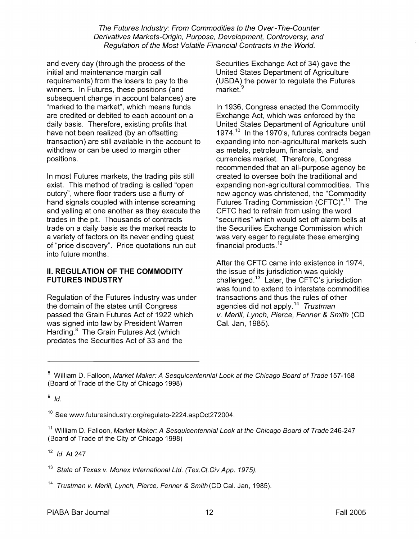and every day (through the process of the initial and maintenance margin call requirements) from the losers to pay to the winners. In Futures, these positions (and subsequent change in account balances) are "marked to the market", which means funds are credited or debited to each account on a daily basis. Therefore, existing profits that have not been realized (by an offsetting transaction) are still available in the account to withdraw or can be used to margin other positions.

In most Futures markets, the trading pits still exist. This method of trading is called "open outcry", where floor traders use a flurry of hand signals coupled with intense screaming and yelling at one another as they execute the trades in the pit. Thousands of contracts trade on a daily basis as the market reacts to a variety of factors on its never ending quest of "price discovery". Price quotations run out into future months.

### **II. REGULATION OF THE COMMODITY FUTURES INDUSTRY**

Regulation of the Futures Industry was under the domain of the states until Congress passed the Grain Futures Act of 1922 which was signed into law by President Warren Harding.<sup>8</sup> The Grain Futures Act (which predates the Securities Act of 33 and the

Securities Exchange Act of 34) gave the United States Department of Agriculture (USDA) the power to regulate the Futures market.<sup>9</sup>

In 1936, Congress enacted the Commodity Exchange Act, which was enforced by the United States Department of Agriculture until 1974. $^{10}$  In the 1970's, futures contracts began expanding into non-agricultural markets such as metals, petroleum, financials, and currencies market. Therefore, Congress recommended that an all-purpose agency be created to oversee both the traditional and expanding non-agricultural commodities. This new agency was christened, the "Commodity Futures Trading Commission (CFTC)".<sup>11</sup> The CFTC had to refrain from using the word "securities" which would set off alarm bells at the Securities Exchange Commission which was very eager to regulate these emerging financial products. $12$ 

After the CFTC came into existence in 1974, the issue of its jurisdiction was quickly challenged.13 Later, the CFTC's jurisdiction was found to extend to interstate commodities transactions and thus the rules of other agencies did not apply.<sup>14</sup> Trustman v. Merill, Lynch, Pierce, Fenner & Smith (CD Cal. Jan, 1985).

 $9$  Id.

<sup>10</sup> See www.futuresindustry.org/regulato-2224.aspOct272004.

11 William D. Falloon, Market Maker: **A** Sesquicentennial Look at the Chicago Board of Trade **246-247**  (Board of Trade of the City of Chicago **1998)** 

 $12$  Id. At 247

<sup>13</sup>State of Texas v. Monex International Ltd. (Tex. Ct. Civ **App.** 1975).

<sup>14</sup> Trustman v. Merill, Lynch, Pierce, Fenner & Smith (CD Cal. Jan, 1985).

<sup>8</sup> William D. Falloon, Market Maker: **A** Sesquicentennial Look at the Chicago Board of Trade **157-1 58**  (Board of Trade of the City of Chicago **1998)**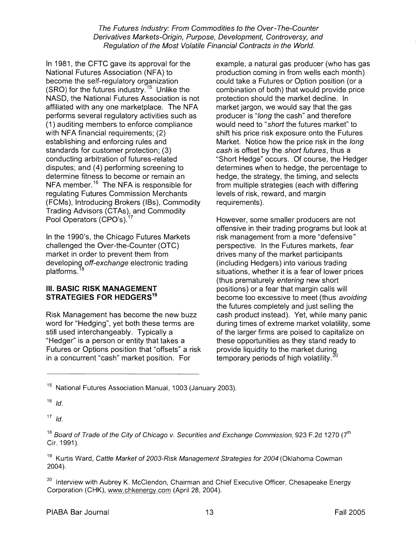In 1981, the CFTC gave its approval for the National Futures Association (NFA) to become the self-regulatory organization (SRO) for the futures industry.<sup>15</sup> Unlike the NASD, the National Futures Association is not affiliated with any one marketplace. The NFA performs several regulatory activities such as (I) auditing members to enforce compliance with NFA financial requirements;  $(2)$ establishing and enforcing rules and standards for customer protection; (3) conducting arbitration of futures-related disputes; and (4) performing screening to determine fitness to become or remain an NFA member.<sup>16</sup> The NFA is responsible for regulating Futures Commission Merchants (FCMs), Introducing Brokers (IBs), Commodity Trading Advisors (CTAs), and Commodity Pool Operators (CPO's).<sup>17</sup>

In the 1990's, the Chicago Futures Markets challenged the Over-the-counter (OTC) market in order to prevent them from developing off-exchange electronic trading platforms. $^{18}$ 

#### **III. BASIC RISK MANAGEMENT STRATEGIES FOR HEDGERS"**

Risk Management has become the new buzz word for "Hedging", yet both these terms are still used interchangeably. Typically a "Hedger" is a person or entity that takes a Futures or Options position that "offsets" a risk in a concurrent "cash" market position. For

example, a natural gas producer (who has gas production coming in from wells each month) could take a Futures or Option position (or a combination of both) that would provide price protection should the market decline. In market jargon, we would say that the gas producer is "long the cash" and therefore would need to "short the futures market" to shift his price risk exposure onto the Futures Market. Notice how the price risk in the long cash is offset by the short futures, thus a "Short Hedge" occurs. Of course, the Hedger determines when to hedge, the percentage to hedge, the strategy, the timing, and selects from multiple strategies (each with differing levels of risk, reward, and margin requirements).

However, some smaller producers are not offensive in their trading programs but look at risk management from a more "defensive" perspective. In the Futures markets, fear drives many of the market participants (including Hedgers) into various trading situations, whether it is a fear of lower prices (thus prematurely entering new short positions) or a fear that margin calls will become too excessive to meet (thus avoiding the futures completely and just selling the cash product instead). Yet, while many panic during times of extreme market volatility, some of the larger firms are poised to capitalize on these opportunities as they stand ready to provide liquidity to the market during temporary periods of high volatility. $^{20}$ 

**l6** Id.

 $17$  *Id.* 

 $18$  Board of Trade of the City of Chicago v. Securities and Exchange Commission, 923 F.2d 1270 ( $7<sup>th</sup>$ Cir. 1991).

<sup>19</sup> Kurtis Ward, Cattle Market of 2003-Risk Management Strategies for 2004 (Oklahoma Cowman 2004).

<sup>20</sup> Interview with Aubrey K. McClendon, Chairman and Chief Executive Officer, Chesapeake Energy Corporation (CHK), www.chkenergy.com (April 28, 2004).

<sup>15</sup> National Futures Association Manual, 1003 (January 2003).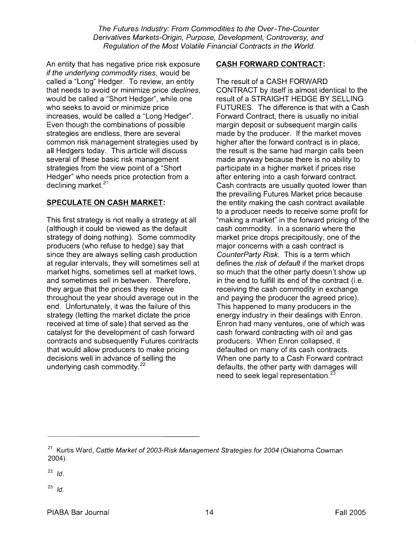An entity that has negative price risk exposure if the underlying commodity rises, would be called a "Long" Hedger. To review, an entity that needs to avoid or minimize price declines, would be called a "Short Hedger", while one who seeks to avoid or minimize price increases, would be called a "Long Hedger". Even though the combinations of possible strategies are endless, there are several common risk management strategies used by all Hedgers today. This article will discuss several of these basic risk management strategies from the view point of a "Short Hedger" who needs price protection from a declining market.<sup>21</sup>

# **SPECULATE ON CASH MARKET:**

This first strategy is not really a strategy at all (although it could be viewed as the default strategy of doing nothing). Some commodity producers (who refuse to hedge) say that since they are always selling cash production at regular intervals, they will sometimes sell at market highs, sometimes sell at market lows, and sometimes sell in between. Therefore, they argue that the prices they receive throughout the year should average out in the end. Unfortunately, it was the failure of this strategy (letting the market dictate the price received at time of sale) that served as the catalyst for the development of cash forward contracts and subsequently Futures contracts that would allow producers to make pricing decisions well in advance of selling the underlying cash commodity. $22$ 

### **CASH FORWARD CONTRACT:**

The result of a CASH FORWARD CONTRACT by itself is almost identical to the result of a STRAIGHT HEDGE BY SELLING FUTURES. The difference is that with a Cash Forward Contract, there is usually no initial margin deposit or subsequent margin calls made by the producer. If the market moves higher after the forward contract is in place, the result is the same had margin calls been made anyway because there is no ability to participate in a higher market if prices rise after entering into a cash forward contract. Cash contracts are usually quoted lower than the prevailing Futures Market price because the entity making the cash contract available to a producer needs to receive some profit for "making a market" in the forward pricing of the cash commodity. In a scenario where the market price drops precipitously, one of the major concerns with a cash contract is CounterParty Risk. This is a term which defines the *risk of default* if the market drops so much that the other party doesn't show up in the end to fulfill its end of the contract (i.e. receiving the cash commodity in exchange and paying the producer the agreed price). This happened to many producers in the energy industry in their dealings with Enron. Enron had many ventures, one of which was cash forward contracting with oil and gas producers. When Enron collapsed, it defaulted on many of its cash contracts. When one party to a Cash Forward contract defaults, the other party with damages will need to seek legal representation. $^{23}$ 

<sup>&</sup>lt;sup>21</sup> Kurtis Ward, Cattle Market of 2003-Risk Management Strategies for 2004 (Oklahoma Cowman 2004).

 $22$  *Id.* 

 $23$  Id.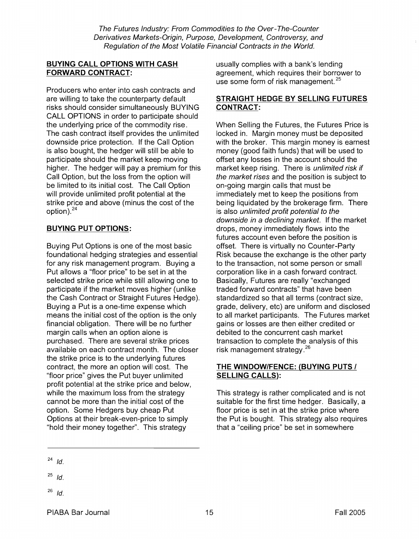### **BUYING CALL OPTIONS WITH CASH FORWARD CONTRACT:**

Producers who enter into cash contracts and are willing to take the counterparty default risks should consider simultaneously BUYING CALL OPTIONS in order to participate should the underlying price of the commodity rise. The cash contract itself provides the unlimited downside price protection. If the Call Option is also bought, the hedger will still be able to participate should the market keep moving higher. The hedger will pay a premium for this Call Option, but the loss from the option will be limited to its initial cost. The Call Option will provide unlimited profit potential at the strike price and above (minus the cost of the option). $^{24}$ 

# **BUYING PUT OPTIONS:**

Buying Put Options is one of the most basic foundational hedging strategies and essential for any risk management program. Buying a Put allows a "floor price" to be set in at the selected strike price while still allowing one to participate if the market moves higher (unlike the Cash Contract or Straight Futures Hedge). Buying a Put is a one-time expense which means the initial cost of the option is the only financial obligation. There will be no further margin calls when an option alone is purchased. There are several strike prices available on each contract month. The closer the strike price is to the underlying futures contract, the more an option will cost. The "floor price" gives the Put buyer unlimited profit potential at the strike price and below, while the maximum loss from the strategy cannot be more than the initial cost of the option. Some Hedgers buy cheap Put Options at their break-even-price to simply "hold their money together". This strategy

usually complies with a bank's lending agreement, which requires their borrower to use some form of risk management.<sup>25</sup>

### **STRAIGHT HEDGE BY SELLING FUTURES CONTRACT:**

When Selling the Futures, the Futures Price is locked in. Margin money must be deposited with the broker. This margin money is earnest money (good faith funds) that will be used to offset any losses in the account should the market keep rising. There is unlimited risk if the market rises and the position is subject to on-going margin calls that must be immediately met to keep the positions from being liquidated by the brokerage firm. There is also unlimited profit potential to the downside in a declining market. If the market drops, money immediately flows into the futures account even before the position is offset. There is virtually no Counter-Party Risk because the exchange is the other party to the transaction, not some person or small corporation like in a cash forward contract. Basically, Futures are really "exchanged traded forward contracts" that have been standardized so that all terms (contract size, grade, delivery, etc) are uniform and disclosed to all market participants. The Futures market gains or losses are then either credited or debited to the concurrent cash market transaction to complete the analysis of this risk management strategy. $^{26}$ 

### **THE WINDOWIFENCE: (BUYING PUTS** I **SELLING CALLS):**

This strategy is rather complicated and is not suitable for the first time hedger. Basically, a floor price is set in at the strike price where the Put is bought. This strategy also requires that a "ceiling price" be set in somewhere

- $^{25}$  *Id.*
- $^{26}$  Id.

 $24$  Id.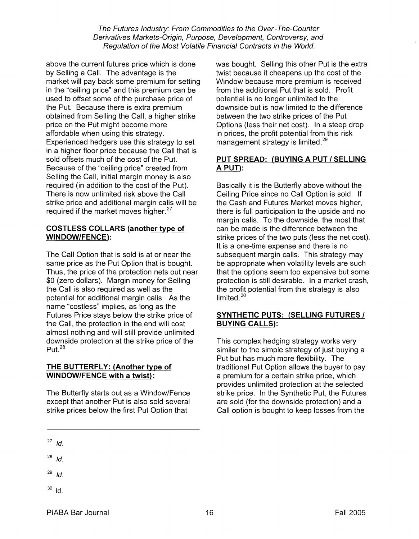above the current futures price which is done by Selling a Call. The advantage is the market will pay back some premium for setting in the "ceiling price" and this premium can be used to offset some of the purchase price of the Put. Because there is extra premium obtained from Selling the Call, a higher strike price on the Put might become more affordable when using this strategy. Experienced hedgers use this strategy to set in a higher floor price because the Call that is sold offsets much of the cost of the Put. Because of the "ceiling price" created from Selling the Call, initial margin money is also required (in addition to the cost of the Put). There is now unlimited risk above the Call strike price and additional margin calls will be required if the market moves higher.<sup>27</sup>

#### **COSTLESS COLLARS (another type of WINDOWIFENCE):**

The Call Option that is sold is at or near the same price as the Put Option that is bought. Thus, the price of the protection nets out near \$0 (zero dollars). Margin money for Selling the Call is also required as well as the potential for additional margin calls. As the name "costless" implies, as long as the Futures Price stays below the strike price of the Call, the protection in the end will cost almost nothing and will still provide unlimited downside protection at the strike price of the Put.<sup>28</sup>

### **THE BUTTERFLY: (Another type of WINDOWIFENCE with a twist)** :

The Butterfly starts out as a Window/Fence except that another Put is also sold several strike prices below the first Put Option that

**27** Id.

**<sup>28</sup>**Id.

 $29$  Id.

 $30$  Id.

was bought. Selling this other Put is the extra twist because it cheapens up the cost of the Window because more premium is received from the additional Put that is sold. Profit potential is no longer unlimited to the downside but is now limited to the difference between the two strike prices of the Put Options (less their net cost). In a steep drop in prices, the profit potential from this risk management strategy is limited. $^{29}$ 

### **PUT SPREAD: (BUYING A PUT / SELLING A PUT):**

Basically it is the Butterfly above without the Ceiling Price since no Call Option is sold. If the Cash and Futures Market moves higher, there is full participation to the upside and no margin calls. To the downside, the most that can be made is the difference between the strike prices of the two puts (less the net cost). It is a one-time expense and there is no subsequent margin calls. This strategy may be appropriate when volatility levels are such that the options seem too expensive but some protection is still desirable. In a market crash, the profit potential from this strategy is also limited. $^{30}$ 

### **SYNTHETIC PUTS: (SELLING FUTURES** I **BUYING CALLS):**

This complex hedging strategy works very similar to the simple strategy of just buying a Put but has much more flexibility. The traditional Put Option allows the buyer to pay a premium for a certain strike price, which provides unlimited protection at the selected strike price. In the Synthetic Put, the Futures are sold (for the downside protection) and a Call option is bought to keep losses from the

PIABA Bar Journal New York 10 16 November 2005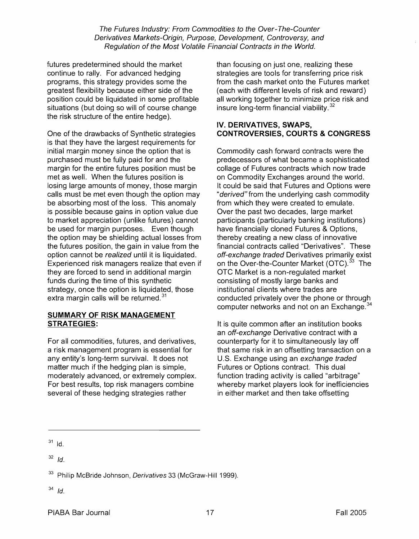futures predetermined should the market continue to rally. For advanced hedging programs, this strategy provides some the greatest flexibility because either side of the position could be liquidated in some profitable situations (but doing so will of course change the risk structure of the entire hedge).

One of the drawbacks of Synthetic strategies is that they have the largest requirements for initial margin money since the option that is purchased must be fully paid for and the margin for the entire futures position must be met as well. When the futures position is losing large amounts of money, those margin calls must be met even though the option may be absorbing most of the loss. This anomaly is possible because gains in option value due to market appreciation (unlike futures) cannot be used for margin purposes. Even though the option may be shielding actual losses from the futures position, the gain in value from the option cannot be realized until it is liquidated. Experienced risk managers realize that even if they are forced to send in additional margin funds during the time of this synthetic strategy, once the option is liquidated, those extra margin calls will be returned. $^{31}$ 

#### **SUMMARY OF RISK MANAGEMENT STRATEGIES:**

For all commodities, futures, and derivatives, a risk management program is essential for any entity's long-term survival. It does not matter much if the hedging plan is simple, moderately advanced, or extremely complex. For best results, top risk managers combine several of these hedging strategies rather

than focusing on just one, realizing these strategies are tools for transferring price risk from the cash market onto the Futures market (each with different levels of risk and reward) all working together to minimize price risk and insure long-term financial viability.<sup>32</sup>

### **IV. DERIVATIVES, SWAPS, CONTROVERSIES, COURTS** & **CONGRESS**

Commodity cash forward contracts were the predecessors of what became a sophisticated collage of Futures contracts which now trade on Commodity Exchanges around the world. It could be said that Futures and Options were "derived" from the underlying cash commodity from which they were created to emulate. Over the past two decades, large market participants (particularly banking institutions) have financially cloned Futures & Options, thereby creating a new class of innovative financial contracts called "Derivatives". These off-exchange traded Derivatives primarily exist on the Over-the-Counter Market (OTC).<sup>33</sup> The OTC Market is a non-regulated market consisting of mostly large banks and institutional clients where trades are conducted privately over the phone or through computer networks and not on an Exchange. $^{34}$ 

It is quite common after an institution books an off-exchange Derivative contract with a counterparty for it to simultaneously lay off that same risk in an offsetting transaction on a U.S. Exchange using an exchange traded Futures or Options contract. This dual function trading activity is called "arbitrage" whereby market players look for inefficiencies in either market and then take offsetting

 $31$  Id.

**<sup>32</sup>***Id.* 

<sup>&</sup>lt;sup>33</sup> Philip McBride Johnson, Derivatives 33 (McGraw-Hill 1999).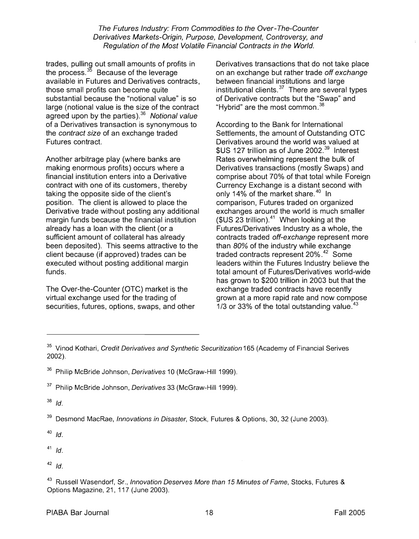trades, pulling out small amounts of profits in the process. $35$  Because of the leverage available in Futures and Derivatives contracts, those small profits can become quite substantial because the "notional value" is so large (notional value is the size of the contract agreed upon by the parties). $36$  Notional value of a Derivatives transaction is synonymous to the contract size of an exchange traded Futures contract.

Another arbitrage play (where banks are making enormous profits) occurs where a financial institution enters into a Derivative contract with one of its customers, thereby taking the opposite side of the client's position. The client is allowed to place the Derivative trade without posting any additional margin funds because the financial institution already has a loan with the client (or a sufficient amount of collateral has already been deposited). This seems attractive to the client because (if approved) trades can be executed without posting additional margin funds.

The Over-the-counter (OTC) market is the virtual exchange used for the trading of securities, futures, options, swaps, and other

Derivatives transactions that do not take place on an exchange but rather trade off exchange between financial institutions and large institutional clients. $37$  There are several types of Derivative contracts but the "Swap" and "Hybrid" are the most common. $38$ 

According to the Bank for International Settlements, the amount of Outstanding OTC Derivatives around the world was valued at  $$US$  127 trillion as of June 2002.<sup>39</sup> Interest Rates overwhelming represent the bulk of Derivatives transactions (mostly Swaps) and comprise about 70% of that total while Foreign Currency Exchange is a distant second with only 14% of the market share.<sup>40</sup> In comparison, Futures traded on organized exchanges around the world is much smaller  $$US 23$  trillion).<sup>41</sup> When looking at the Futures/Derivatives Industry as a whole, the contracts traded off-exchange represent more than 80% of the industry while exchange traded contracts represent 20%.<sup>42</sup> Some leaders within the Futures Industry believe the total amount of Futures/Derivatives world-wide has grown to \$200 trillion in 2003 but that the exchange traded contracts have recently grown at a more rapid rate and now compose  $1/3$  or 33% of the total outstanding value.<sup>43</sup>

 $38$  Id.

<sup>39</sup> Desmond MacRae, *Innovations in Disaster*, Stock, Futures & Options, 30, 32 (June 2003).

 $40$  Id.

 $41$  Id.

 $42$  Id.

<sup>43</sup> Russell Wasendorf, Sr., *Innovation Deserves More than 15 Minutes of Fame*, Stocks, Futures & Options Magazine, 21, 117 (June 2003).

<sup>&</sup>lt;sup>35</sup> Vinod Kothari, Credit Derivatives and Synthetic Securitization 165 (Academy of Financial Serives 2002).

<sup>&</sup>lt;sup>36</sup> Philip McBride Johnson, *Derivatives* 10 (McGraw-Hill 1999).

<sup>&</sup>lt;sup>37</sup> Philip McBride Johnson, *Derivatives* 33 (McGraw-Hill 1999).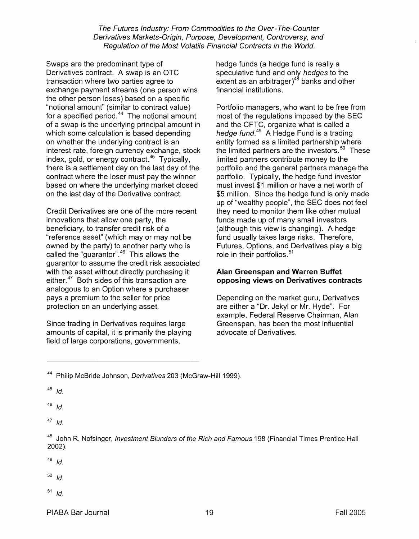Swaps are the predominant type of Derivatives contract. A swap is an OTC transaction where two parties agree to exchange payment streams (one person wins the other person loses) based on a specific "notional amount" (similar to contract value) for a specified period. $44$  The notional amount of a swap is the underlying principal amount in which some calculation is based depending on whether the underlying contract is an interest rate, foreign currency exchange, stock index, gold, or energy contract.<sup>45</sup> Typically, there is a settlement day on the last day of the contract where the loser must pay the winner based on where the underlying market closed on the last day of the Derivative contract.

Credit Derivatives are one of the more recent innovations that allow one party, the beneficiary, to transfer credit risk of a "reference asset" (which may or may not be owned by the party) to another party who is called the "guarantor". $46$  This allows the guarantor to assume the credit risk associated with the asset without directly purchasing it either.<sup>47</sup> Both sides of this transaction are analogous to an Option where a purchaser pays a premium to the seller for price protection on an underlying asset.

Since trading in Derivatives requires large amounts of capital, it is primarily the playing field of large corporations, governments,

hedge funds (a hedge fund is really a speculative fund and only hedges to the extent as an arbitrager) $4^8$  banks and other financial institutions.

Portfolio managers, who want to be free from most of the regulations imposed by the SEC and the CFTC, organize what is called a hedge fund.<sup>49</sup> A Hedge Fund is a trading entity formed as a limited partnership where the limited partners are the investors.<sup>50</sup> These limited partners contribute money to the portfolio and the general partners manage the portfolio. Typically, the hedge fund investor must invest \$1 million or have a net worth of \$5 million. Since the hedge fund is only made up of "wealthy people", the SEC does not feel they need to monitor them like other mutual funds made up of many small investors (although this view is changing). A hedge fund usually takes large risks. Therefore, Futures, Options, and Derivatives play a big role in their portfolios. $51$ 

#### **Alan Greenspan and Warren Buffet opposing views on Derivatives contracts**

Depending on the market guru, Derivatives are either a "Dr. Jekyl or Mr. Hyde". For example, Federal Reserve Chairman, Alan Greenspan, has been the most influential advocate of Derivatives.

**<sup>45</sup>**Id.

 $46$  Id.

 $47$  Id.

**<sup>48</sup>**John R. Nofsinger, Investment Blunders of the Rich and Famous 198 (Financial Times Prentice Hall 2002).

 $49$  Id.

**<sup>50</sup>**Id.

<sup>&</sup>lt;sup>44</sup> Philip McBride Johnson, *Derivatives* 203 (McGraw-Hill 1999).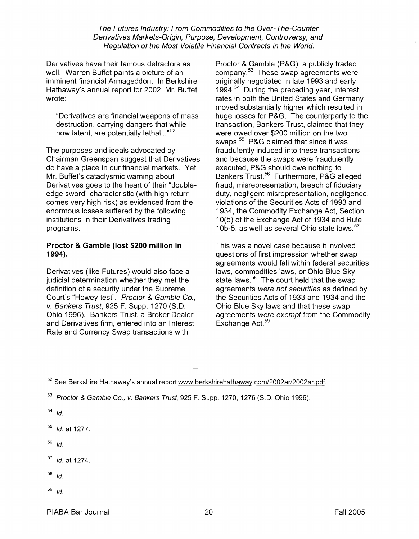Derivatives have their famous detractors as well. Warren Buffet paints a picture of an imminent financial Armageddon. In Berkshire Hathaway's annual report for 2002, Mr. Buffet wrote:

"Derivatives are financial weapons of mass destruction, carrying dangers that while now latent, are potentially lethal..."<sup>52</sup>

The purposes and ideals advocated by Chairman Greenspan suggest that Derivatives do have a place in our financial markets. Yet, Mr. Buffet's cataclysmic warning about Derivatives goes to the heart of their "doubleedge sword" characteristic (with high return comes very high risk) as evidenced from the enormous losses suffered by the following institutions in their Derivatives trading programs.

#### Proctor & Gamble (lost **\$200** million in **1994).**

Derivatives (like Futures) would also face a judicial determination whether they met the definition of a security under the Supreme Court's "Howey test". Proctor & Gamble Co., v. Bankers Trust, 925 F. Supp. 1270 (S.D. Ohio 1996). Bankers Trust, a Broker Dealer and Derivatives firm, entered into an Interest Rate and Currency Swap transactions with

Proctor & Gamble (P&G), a publicly traded company.<sup>53</sup> These swap agreements were originally negotiated in late 1993 and early 1994. $54$  During the preceding year, interest rates in both the United States and Germany moved substantially higher which resulted in huge losses for P&G. The counterparty to the transaction, Bankers Trust, claimed that they were owed over \$200 million on the two swaps.<sup>55</sup> P&G claimed that since it was fraudulently induced into these transactions and because the swaps were fraudulently executed, P&G should owe nothing to Bankers Trust.<sup>56</sup> Furthermore, P&G alleged fraud, misrepresentation, breach of fiduciary duty, negligent misrepresentation, negligence, violations of the Securities Acts of 1993 and 1934, the Commodity Exchange Act, Section 10(b) of the Exchange Act of 1934 and Rule 10b-5, as well as several Ohio state laws.<sup>57</sup>

This was a novel case because it involved questions of first impression whether swap agreements would fall within federal securities laws, commodities laws, or Ohio Blue Sky state laws. $58$  The court held that the swap agreements were not securifies as defined by the Securities Acts of 1933 and 1934 and the Ohio Blue Sky laws and that these swap agreements were exempt from the Commodity Exchange  $Act.^{59}$ 

 $54$  Id.

 $55$  *Id.* at 1277.

 $56$  Id.

 $57$  *Id.* at 1274.

- $58$  Id.
- $59$  Id.

PIABA Bar Journal 2005 - 2006 - 2006 - 2007 - 2008 - 2008 - 2008 - 2009 - 2009 - 2009 - 2009 - 2009 - 2009 - 20

 $52$  See Berkshire Hathaway's annual report www.berkshirehathaway.com/2002ar/2002ar.pdf.

 $53$  Proctor & Gamble Co., v. Bankers Trust, 925 F. Supp. 1270, 1276 (S.D. Ohio 1996).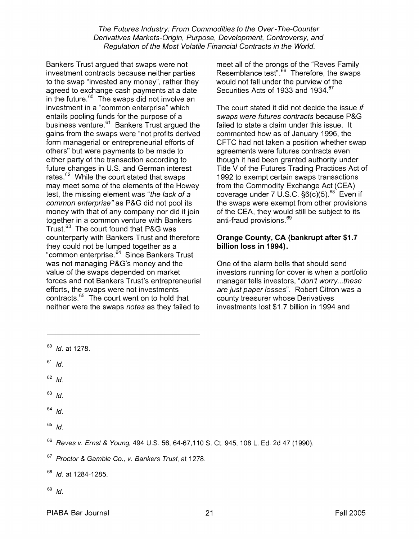Bankers Trust argued that swaps were not investment contracts because neither parties to the swap "invested any money", rather they agreed to exchange cash payments at a date in the future. $60$  The swaps did not involve an investment in a "common enterprise" which entails pooling funds for the purpose of a business venture. $61$  Bankers Trust argued the gains from the swaps were "not profits derived form managerial or entrepreneurial efforts of others" but were payments to be made to either party of the transaction according to future changes in U.S. and German interest rates. $62$  While the court stated that swaps may meet some of the elements of the Howey test, the missing element was "the lack of a common enterprise" as P&G did not pool its money with that of any company nor did it join together in a common venture with Bankers Trust. $^{63}$  The court found that P&G was counterparty with Bankers Trust and therefore they could not be lumped together as a "common enterprise.<sup>64</sup> Since Bankers Trust was not managing P&G's money and the value of the swaps depended on market forces and not Bankers Trust's entrepreneurial efforts, the swaps were not investments contracts.<sup>65</sup> The court went on to hold that neither were the swaps notes as they failed to

meet all of the prongs of the "Reves Family Resemblance test". $66$  Therefore, the swaps would not fall under the purview of the Securities Acts of 1933 and 1934.<sup>67</sup>

The court stated it did not decide the issue if swaps were futures contracts because P&G failed to state a claim under this issue. It commented how as of January 1996, the CFTC had not taken a position whether swap agreements were futures contracts even though it had been granted authority under Title V of the Futures Trading Practices Act of 1992 to exempt certain swaps transactions from the Commodity Exchange Act (CEA) coverage under 7 U.S.C.  $\S6(c)(5)$ .  $^{68}$  Even if the swaps were exempt from other provisions of the CEA, they would still be subject to its anti-fraud provisions.<sup>69</sup>

### **Orange County, CA (bankrupt after \$1.7 billion loss in 1994).**

One of the alarm bells that should send investors running for cover is when a portfolio manager tells investors, "don't worry...these are just paper losses". Robert Citron was a county treasurer whose Derivatives investments lost \$1.7 billion in 1994 and

- $61$  Id.
- $62$  *Id.*
- $63$  *Id.*
- $64$  *Id.*
- $65$  Id.

 $69$  Id.

PIABA Bar Journal 2005 - 21 All 2005 - 21 All 2005 - 21 All 2005 - 21 All 2005 - 21 All 2005 - 2016 - 21 All 2005 - 21 All 2005 - 2016 - 2016 - 21 All 2005 - 21 All 2005 - 21 All 2005 - 2016 - 2017 - 2018 - 2018 - 2018 - 2

 $60$  *Id.* at 1278.

 $66$  Reves v. Ernst & Young, 494 U.S. 56, 64-67, 110 S. Ct. 945, 108 L. Ed. 2d 47 (1990).

 $67$  Proctor & Gamble Co., v. Bankers Trust, at 1278.

 $68$  *Id.* at 1284-1285.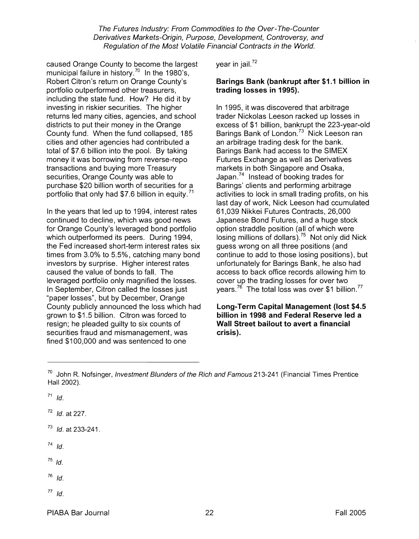caused Orange County to become the largest municipal failure in history.<sup>70</sup> In the 1980's, Robert Citron's return on Orange County's portfolio outperformed other treasurers, including the state fund. How? He did it by investing in riskier securities. The higher returns led many cities, agencies, and school districts to put their money in the Orange County fund. When the fund collapsed, 185 cities and other agencies had contributed a total of \$7.6 billion into the pool. By taking money it was borrowing from reverse-rep0 transactions and buying more Treasury securities, Orange County was able to purchase \$20 billion worth of securities for a portfolio that only had \$7.6 billion in equity.<sup>71</sup>

In the years that led up to 1994, interest rates continued to decline, which was good news for Orange County's leveraged bond portfolio which outperformed its peers. During 1994, the Fed increased short-term interest rates six times from 3.0% to 5.5%, catching many bond investors by surprise. Higher interest rates caused the value of bonds to fall. The leveraged portfolio only magnified the losses. In September, Citron called the losses just "paper losses", but by December, Orange County publicly announced the loss which had grown to \$1.5 billion. Citron was forced to resign; he pleaded guilty to six counts of securities fraud and mismanagement, was fined \$100,000 and was sentenced to one

vear in jail. $72$ 

### **Barings Bank (bankrupt after \$1 .I billion in trading losses in 1995).**

In 1995, it was discovered that arbitrage trader Nickolas Leeson racked up losses in excess of \$1 billion, bankrupt the 223-year-old Barings Bank of London.<sup>73</sup> Nick Leeson ran an arbitrage trading desk for the bank. Barings Bank had access to the SlMEX Futures Exchange as well as Derivatives markets in both Singapore and Osaka, Japan.<sup>74</sup> Instead of booking trades for Barings' clients and performing arbitrage activities to lock in small trading profits, on his last day of work, Nick Leeson had ccumulated 61,039 Nikkei Futures Contracts, 26,000 Japanese Bond Futures, and a huge stock option straddle position (all of which were losing millions of dollars).<sup>75</sup> Not only did Nick guess wrong on all three positions (and continue to add to those losing positions), but unfortunately for Barings Bank, he also had access to back office records allowing him to cover up the trading losses for over two years.<sup>76</sup> The total loss was over \$1 billion.<sup>77</sup>

**Long-Term Capital Management (lost \$4.5 billion in 1998 and Federal Reserve led a Wall Street bailout to avert a financial crisis).** 

 $71$  Id.

**<sup>72</sup>**Id. at 227.

**<sup>73</sup>**Id. at 233-241

 $74$  Id.

 $^{75}$  Id.

 $76$  Id.

 $70$  John R. Nofsinger, Investment Blunders of the Rich and Famous 213-241 (Financial Times Prentice Hall 2002).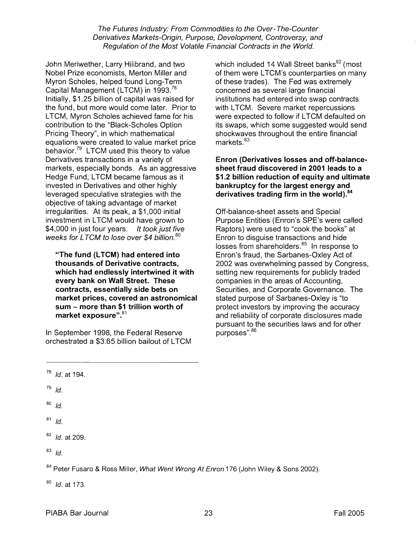John Meriwether, Larry Hilibrand, and two Nobel Prize economists, Merton Miller and Myron Scholes, helped found Long-Term Capital Management (LTCM) in 1993.<sup>78</sup> Initially, \$1.25 billion of capital was raised for the fund, but more would come later. Prior to LTCM, Myron Scholes achieved fame for his contribution to the "Black-Scholes Option" Pricing Theory", in which mathematical equations were created to value market price behavior. $79$  LTCM used this theory to value Derivatives transactions in a variety of markets, especially bonds. As an aggressive Hedge Fund, LTCM became famous as it invested in Derivatives and other highly leveraged speculative strategies with the objective of taking advantage of market irregularities. At its peak, a \$1,000 initial investment in LTCM would have grown to \$4,000 in just four years. It took just five weeks for LTCM to lose over \$4 billion.<sup>80</sup>

**"The fund (LTCM) had entered into thousands of Derivative contracts, which had endlessly intertwined it with every bank on Wall Street. These contracts, essentially side bets on market prices, covered an astronomical sum** - **more than \$1 trillion worth of**  market exposure".<sup>81</sup>

In September 1998, the Federal Reserve orchestrated a \$3.65 billion bailout of LTCM which included 14 Wall Street banks $^{82}$  (most of them were LTCM's counterparties on many of these trades). The Fed was extremely concerned as several large financial institutions had entered into swap contracts with LTCM. Severe market repercussions were expected to follow if LTCM defaulted on its swaps, which some suggested would send shockwaves throughout the entire financial markets.<sup>83</sup>

### **Enron (Derivatives losses and off-balancesheet fraud discovered in 2001 leads to a \$1.2 billion reduction of equity and ultimate bankruptcy for the largest energy and derivatives trading firm in the**

Off-balance-sheet assets and Special Purpose Entities (Enron's SPE's were called Raptors) were used to "cook the books" at Enron to disguise transactions and hide losses from shareholders.<sup>85</sup> In response to Enron's fraud, the Sarbanes-Oxley Act of 2002 was overwhelming passed by Congress, setting new requirements for publicly traded companies in the areas of Accounting, Securities, and Corporate Governance. The stated purpose of Sarbanes-Oxley is "to protect investors by improving the accuracy and reliability of corporate disclosures made pursuant to the securities laws and for other purposes". 86

- $79$  Id.
- $80$  Id.
- $81$  Id.
- $82$  *Id.* at 209.
- $83$  Id.

<sup>84</sup> Peter Fusaro & Ross Miller, *What Went Wrong At Enron* 176 (John Wiley & Sons 2002).

**<sup>85</sup>**Id. at 173.

 $78$  Id. at 194.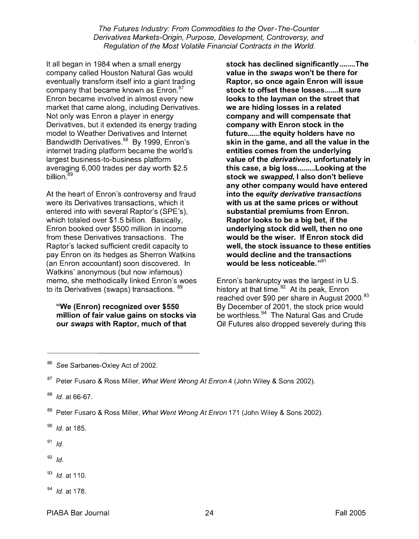It all began in 1984 when a small energy company called Houston Natural Gas would eventually transform itself into a giant trading company that became known as  $Enron.^{87}$ Enron became involved in almost every new market that came along, including Derivatives. Not only was Enron a player in energy Derivatives, but it extended its energy trading model to Weather Derivatives and Internet Bandwidth Derivatives.<sup>88</sup> By 1999, Enron's internet trading platform became the world's largest business-to-business platform averaging 6,000 trades per day worth \$2.5 billion.<sup>89</sup>

At the heart of Enron's controversy and fraud were its Derivatives transactions, which it entered into with several Raptor's (SPE's), which totaled over \$1.5 billion. Basically, Enron booked over \$500 million in income from these Derivatives transactions. The Raptor's lacked sufficient credit capacity to pay Enron on its hedges as Sherron Watkins (an Enron accountant) soon discovered. In Watkins' anonymous (but now infamous) memo, she methodically linked Enron's woes to its Derivatives (swaps) transactions.  $89$ 

"We (Enron) recognized over \$550 million of fair value gains on stocks via our swaps with Raptor, much of that

stock has declined significantly ........ The value in the swaps won't be there for Raptor, so once again Enron will issue stock to offset these losses........ It sure looks to the layman on the street that we are hiding losses in a related company and will compensate that company with Enron stock in the future......the equity holders have no skin in the game, and all the value in the entities comes from the underlying value of the derivafives, unfortunately in this case, a big loss.........Looking at the stock we swapped, I also don't believe any other company would have entered into the equity derivative transactions with us at the same prices or without substantial premiums from Enron. Raptor looks to be a big bet, if the underlying stock did well, then no one would be the wiser. If Enron stock did well, the stock issuance to these entities would decline and the transactions would be less noticeable." $91$ 

Enron's bankruptcy was the largest in U.S. history at that time.<sup>92</sup> At its peak, Enron reached over \$90 per share in August 2000.<sup>93</sup> By December of 2001, the stock price would be worthless. $94$  The Natural Gas and Crude Oil Futures also dropped severely during this

- $92$  Id.
- <sup>93</sup> *Id.* at 110.
- $94$  *Id.* at 178.

See Sarbanes-Oxley Act of 2002.

<sup>&</sup>lt;sup>87</sup> Peter Fusaro & Ross Miller, What Went Wrong At Enron 4 (John Wiley & Sons 2002).

 $88$  *Id.* at 66-67.

Peter Fusaro & Ross Miller, What Went Wrong At Enron 171 (John Wiley & Sons 2002).

 $90$  *Id.* at 185.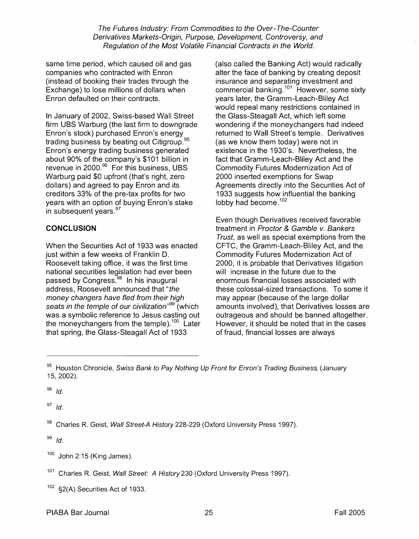same time period, which caused oil and gas companies who contracted with Enron (instead of booking their trades through the Exchange) to lose millions of dollars when Enron defaulted on their contracts.

In January of 2002, Swiss-based Wall Street firm UBS Warburg (the last firm to downgrade Enron's stock) purchased Enron's energy<br>Enron's stock) purchased Enron's energy trading business by beating out Citigroup. Enron's energy trading business generated about 90% of the company's \$101 billion in revenue in 2000.<sup>96</sup> For this business, UBS Warburg paid \$0 upfront (that's right, zero dollars) and agreed to pay Enron and its creditors 33% of the pre-tax profits for two years with an option of buying Enron's stake in subsequent years.<sup>97</sup>

# **CONCLUSION**

When the Securities Act of 1933 was enacted just within a few weeks of Franklin D. Roosevelt taking office, it was the first time national securities legislation had ever been passed by Congress.<sup>98</sup> In his inaugural address, Roosevelt announced that "the money changers have fled from their high seats in the temple of our civilization"<sup>99</sup> (which was a symbolic reference to Jesus casting out the moneychangers from the temple).<sup>100</sup> Later that spring, the Glass-Steagall Act of 1933

(also called the Banking Act) would radically alter the face of banking by creating deposit insurance and separating investment and commercial banking.<sup>101</sup> However, some sixty years later, the Gramm-Leach-Bliley Act would repeal many restrictions contained in the Glass-Steagall Act, which left some wondering if the moneychangers had indeed returned to Wall Street's temple. Derivatives (as we know them today) were not in existence in the 1930's. Nevertheless, the fact that Gramm-Leach-Bliley Act and the Commodity Futures Modernization Act of 2000 inserted exemptions for Swap Agreements directly into the Securities Act of 1933 suggests how influential the banking lobby had become.<sup>102</sup>

Even though Derivatives received favorable treatment in Proctor & Gamble v. Bankers Trust, as well as special exemptions from the CFTC, the Gramm-Leach-Bliley Act, and the Commodity Futures Modernization Act of 2000, it is probable that Derivatives litigation will increase in the future due to the enormous financial losses associated with these colossal-sized transactions. To some it may appear (because of the large dollar amounts involved), that Derivatives losses are outrageous and should be banned altogether. However, it should be noted that in the cases of fraud, financial losses are always

 $96$   $1d.$ 

 $^{97}$  Id.

98 Charles R. Geist, Wall Street-A History 228-229 (Oxford University Press 1997).

- $100$  John 2:15 (King James).
- Charles R. Geist, Wall Street: A History 230 (Oxford University Press 1997).
- §2(A) Securities Act of 1933.

<sup>&</sup>lt;sup>95</sup> Houston Chronicle, Swiss Bank to Pay Nothing Up Front for Enron's Trading Business, (January 15, 2002).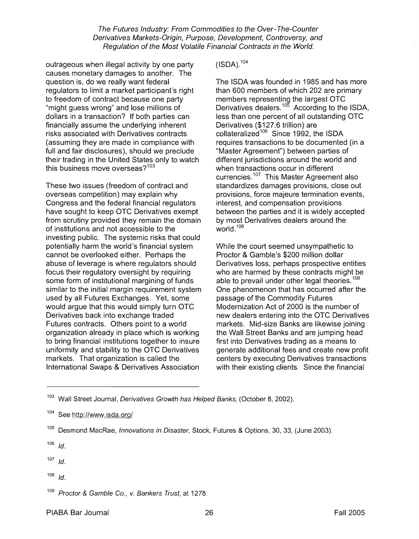outrageous when illegal activity by one party causes monetary damages to another. The question is, do we really want federal regulators to limit a market participant's right to freedom of contract because one party "might guess wrong" and lose millions of dollars in a transaction? If both parties can financially assume the underlying inherent risks associated with Derivatives contracts (assuming they are made in compliance with full and fair disclosures), should we preclude their trading in the United States only to watch this business move overseas? $103$ 

These two issues (freedom of contract and overseas competition) may explain why Congress and the federal financial regulators have sought to keep OTC Derivatives exempt from scrutiny provided they remain the domain of institutions and not accessible to the investing public. The systemic risks that could potentially harm the world's financial system cannot be overlooked either. Perhaps the abuse of leverage is where regulators should focus their regulatory oversight by requiring some form of institutional margining of funds similar to the initial margin requirement system used by all Futures Exchanges. Yet, some would argue that this would simply turn OTC Derivatives back into exchange traded Futures contracts. Others point to a world organization already in place which is working to bring financial institutions together to insure uniformity and stability to the OTC Derivatives markets. That organization is called the International Swaps & Derivatives Association

 $(ISDA)$ ,  $104$ 

The ISDA was founded in 1985 and has more than 600 members of which 202 are primary members representing the largest OTC Derivatives dealers. $10^5$  According to the ISDA, less than one percent of all outstanding OTC Derivatives (\$127.6 trillion) are collateralized<sup>106</sup> Since 1992, the ISDA requires transactions to be documented (in a "Master Agreement") between parties of different jurisdictions around the world and when transactions occur in different currencies. $107$  This Master Agreement also standardizes damages provisions, close out provisions, force majeure termination events, interest, and compensation provisions between the parties and it is widely accepted by most Derivatives dealers around the world.<sup>108</sup>

While the court seemed unsympathetic to Proctor & Gamble's \$200 million dollar Derivatives loss, perhaps prospective entities who are harmed by these contracts might be able to prevail under other legal theories.<sup>109</sup> One phenomenon that has occurred after the passage of the Commodity Futures Modernization Act of 2000 is the number of new dealers entering into the OTC Derivatives markets. Mid-size Banks are likewise joining the Wall Street Banks and are jumping head first into Derivatives trading as a means to generate additional fees and create new profit centers by executing Derivatives transactions with their existing clients. Since the financial

- $107$  Id.
- 108 Id.

 $103$  Wall Street Journal, Derivatives Growth has Helped Banks, (October 8, 2002).

See http://www.isda.org/

<sup>&</sup>lt;sup>105</sup> Desmond MacRae, *Innovations in Disaster*, Stock, Futures & Options, 30, 33, (June 2003).

Proctor & Gamble Co., v. Bankers Trust, at 1278.